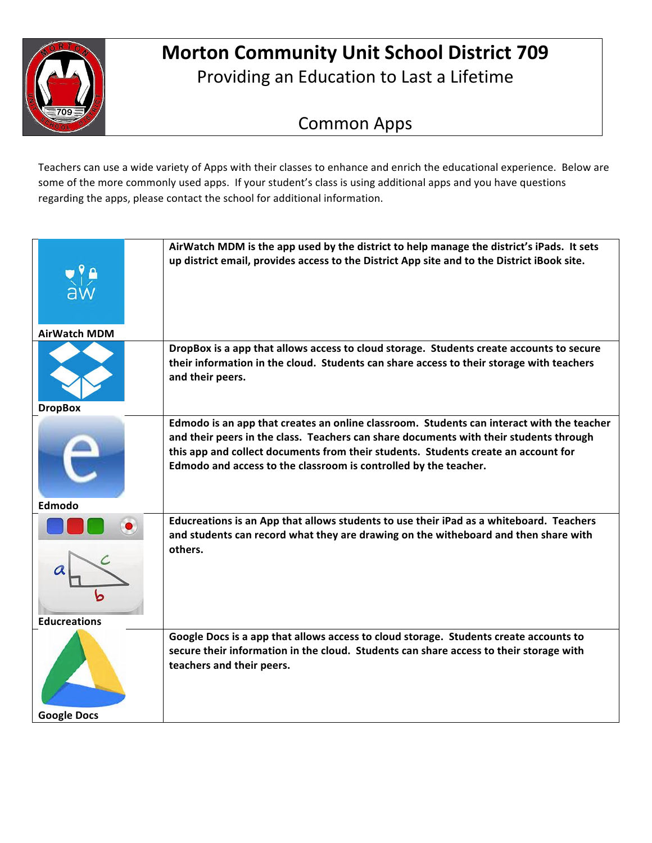

## **Morton Community Unit School District 709** Providing an Education to Last a Lifetime

## Common Apps

Teachers can use a wide variety of Apps with their classes to enhance and enrich the educational experience. Below are some of the more commonly used apps. If your student's class is using additional apps and you have questions regarding the apps, please contact the school for additional information.

| <b>AirWatch MDM</b> | AirWatch MDM is the app used by the district to help manage the district's iPads. It sets<br>up district email, provides access to the District App site and to the District iBook site.                                                                                                                                                      |
|---------------------|-----------------------------------------------------------------------------------------------------------------------------------------------------------------------------------------------------------------------------------------------------------------------------------------------------------------------------------------------|
| <b>DropBox</b>      | DropBox is a app that allows access to cloud storage. Students create accounts to secure<br>their information in the cloud. Students can share access to their storage with teachers<br>and their peers.                                                                                                                                      |
| Edmodo              | Edmodo is an app that creates an online classroom. Students can interact with the teacher<br>and their peers in the class. Teachers can share documents with their students through<br>this app and collect documents from their students. Students create an account for<br>Edmodo and access to the classroom is controlled by the teacher. |
| <b>Educreations</b> | Educreations is an App that allows students to use their iPad as a whiteboard. Teachers<br>and students can record what they are drawing on the witheboard and then share with<br>others.                                                                                                                                                     |
| <b>Google Docs</b>  | Google Docs is a app that allows access to cloud storage. Students create accounts to<br>secure their information in the cloud. Students can share access to their storage with<br>teachers and their peers.                                                                                                                                  |